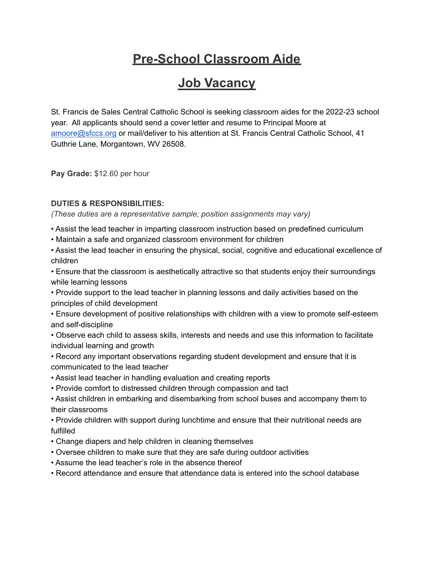# **Pre-School Classroom Aide**

# **Job Vacancy**

St. Francis de Sales Central Catholic School is seeking classroom aides for the 2022-23 school year. All applicants should send a cover letter and resume to Principal Moore at [amoore@sfccs.org](mailto:amoore@sfccs.org) or mail/deliver to his attention at St. Francis Central Catholic School, 41 Guthrie Lane, Morgantown, WV 26508.

**Pay Grade:** \$12.60 per hour

## **DUTIES & RESPONSIBILITIES:**

*(These duties are a representative sample; position assignments may vary)*

- Assist the lead teacher in imparting classroom instruction based on predefined curriculum
- Maintain a safe and organized classroom environment for children

• Assist the lead teacher in ensuring the physical, social, cognitive and educational excellence of children

• Ensure that the classroom is aesthetically attractive so that students enjoy their surroundings while learning lessons

• Provide support to the lead teacher in planning lessons and daily activities based on the principles of child development

• Ensure development of positive relationships with children with a view to promote self-esteem and self-discipline

• Observe each child to assess skills, interests and needs and use this information to facilitate individual learning and growth

• Record any important observations regarding student development and ensure that it is communicated to the lead teacher

- Assist lead teacher in handling evaluation and creating reports
- Provide comfort to distressed children through compassion and tact

• Assist children in embarking and disembarking from school buses and accompany them to their classrooms

• Provide children with support during lunchtime and ensure that their nutritional needs are fulfilled

- Change diapers and help children in cleaning themselves
- Oversee children to make sure that they are safe during outdoor activities
- Assume the lead teacher's role in the absence thereof
- Record attendance and ensure that attendance data is entered into the school database